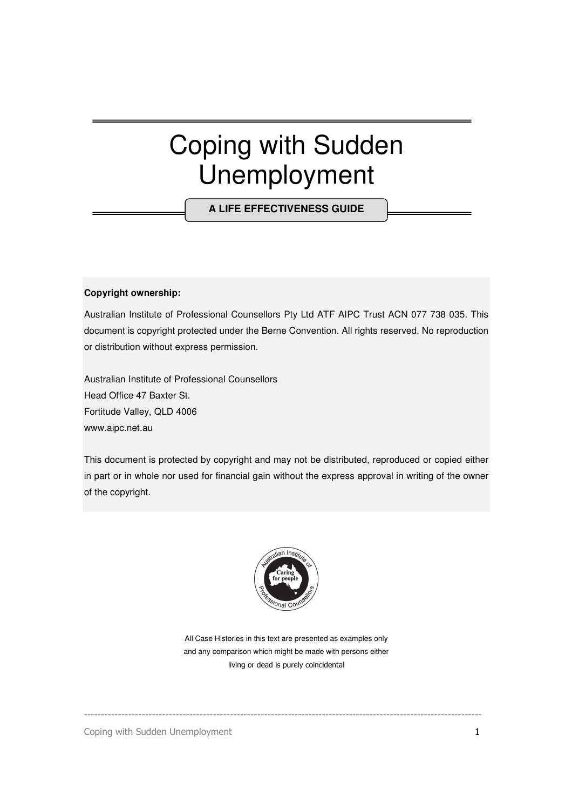# Coping with Sudden Unemployment

**A LIFE EFFECTIVENESS GUIDE**

#### **Copyright ownership:**

Australian Institute of Professional Counsellors Pty Ltd ATF AIPC Trust ACN 077 738 035. This document is copyright protected under the Berne Convention. All rights reserved. No reproduction or distribution without express permission.

Australian Institute of Professional Counsellors Head Office 47 Baxter St. Fortitude Valley, QLD 4006 www.aipc.net.au

This document is protected by copyright and may not be distributed, reproduced or copied either in part or in whole nor used for financial gain without the express approval in writing of the owner of the copyright.



All Case Histories in this text are presented as examples only and any comparison which might be made with persons either living or dead is purely coincidental

---------------------------------------------------------------------------------------------------------------------

Coping with Sudden Unemployment 1 and 1 and 2 and 2 and 2 and 2 and 2 and 2 and 2 and 2 and 2 and 2 and 2 and 2 and 2 and 2 and 2 and 2 and 2 and 2 and 2 and 2 and 2 and 2 and 2 and 2 and 2 and 2 and 2 and 2 and 2 and 2 an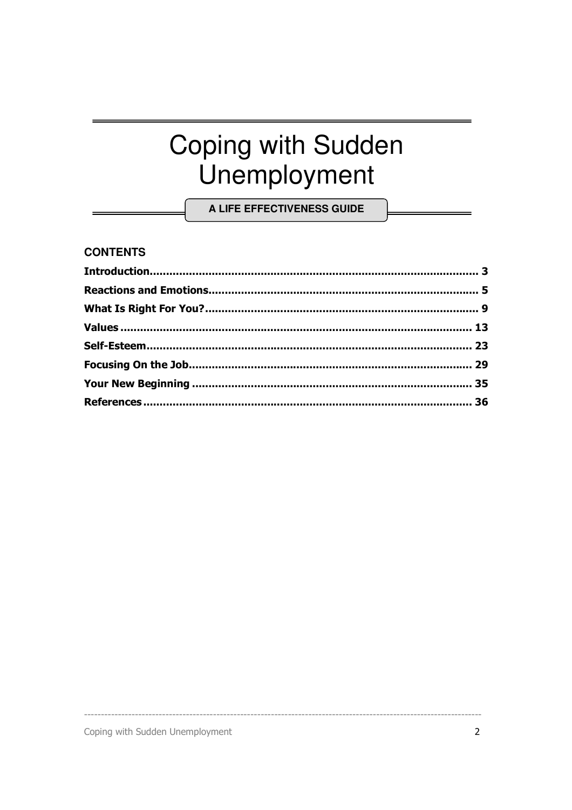# **Coping with Sudden** Unemployment

A LIFE EFFECTIVENESS GUIDE

#### **CONTENTS**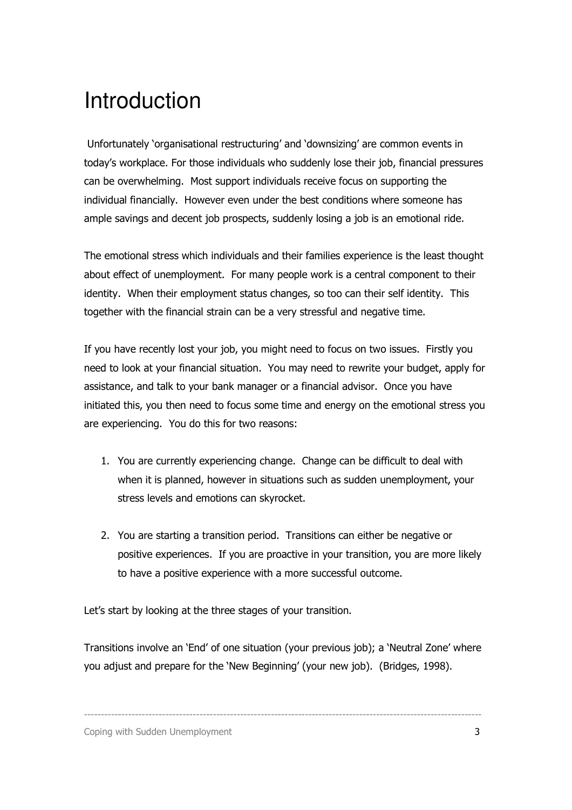# Introduction

 Unfortunately 'organisational restructuring' and 'downsizing' are common events in today's workplace. For those individuals who suddenly lose their job, financial pressures can be overwhelming. Most support individuals receive focus on supporting the individual financially. However even under the best conditions where someone has ample savings and decent job prospects, suddenly losing a job is an emotional ride.

The emotional stress which individuals and their families experience is the least thought about effect of unemployment. For many people work is a central component to their identity. When their employment status changes, so too can their self identity. This together with the financial strain can be a very stressful and negative time.

If you have recently lost your job, you might need to focus on two issues. Firstly you need to look at your financial situation. You may need to rewrite your budget, apply for assistance, and talk to your bank manager or a financial advisor. Once you have initiated this, you then need to focus some time and energy on the emotional stress you are experiencing. You do this for two reasons:

- 1. You are currently experiencing change. Change can be difficult to deal with when it is planned, however in situations such as sudden unemployment, your stress levels and emotions can skyrocket.
- 2. You are starting a transition period. Transitions can either be negative or positive experiences. If you are proactive in your transition, you are more likely to have a positive experience with a more successful outcome.

Let's start by looking at the three stages of your transition.

Transitions involve an 'End' of one situation (your previous job); a 'Neutral Zone' where you adjust and prepare for the 'New Beginning' (your new job). (Bridges, 1998).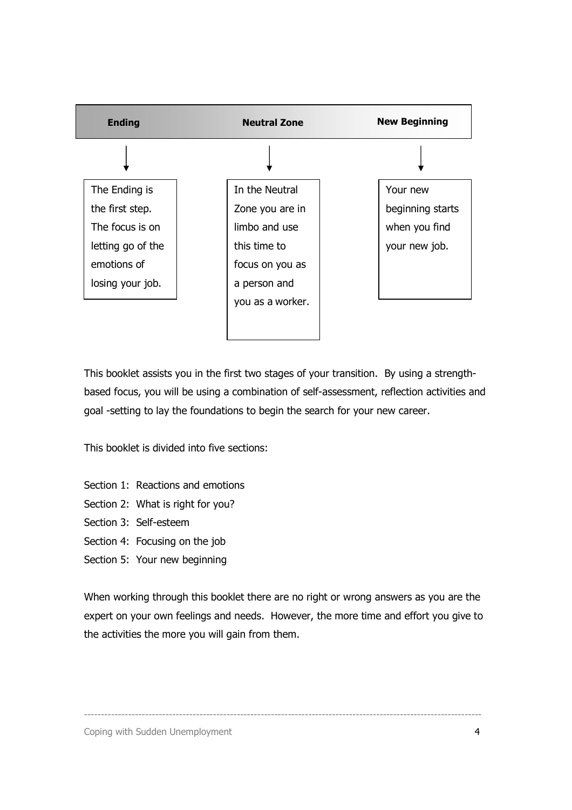

This booklet assists you in the first two stages of your transition. By using a strengthbased focus, you will be using a combination of self-assessment, reflection activities and goal -setting to lay the foundations to begin the search for your new career.

This booklet is divided into five sections:

- Section 1: Reactions and emotions
- Section 2: What is right for you?
- Section 3: Self-esteem
- Section 4: Focusing on the job
- Section 5: Your new beginning

When working through this booklet there are no right or wrong answers as you are the expert on your own feelings and needs. However, the more time and effort you give to the activities the more you will gain from them.

---------------------------------------------------------------------------------------------------------------------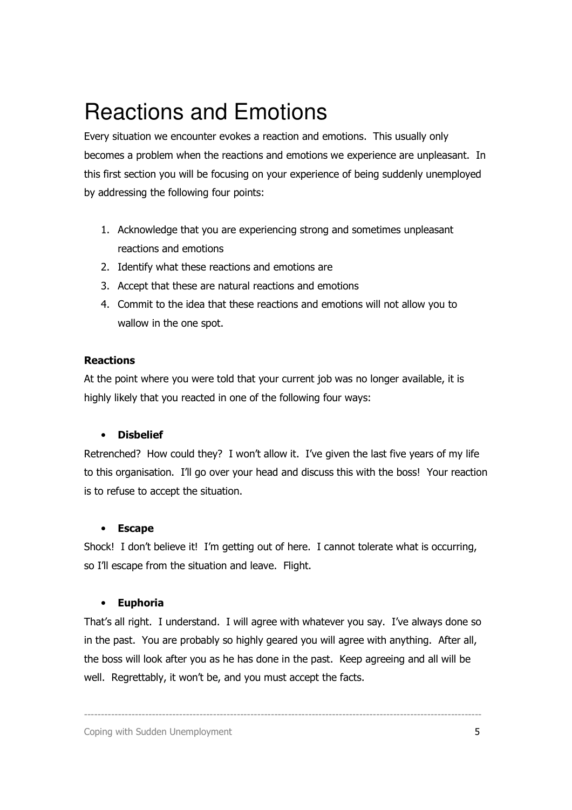# Reactions and Emotions

Every situation we encounter evokes a reaction and emotions. This usually only becomes a problem when the reactions and emotions we experience are unpleasant. In this first section you will be focusing on your experience of being suddenly unemployed by addressing the following four points:

- 1. Acknowledge that you are experiencing strong and sometimes unpleasant reactions and emotions
- 2. Identify what these reactions and emotions are
- 3. Accept that these are natural reactions and emotions
- 4. Commit to the idea that these reactions and emotions will not allow you to wallow in the one spot.

#### Reactions

At the point where you were told that your current job was no longer available, it is highly likely that you reacted in one of the following four ways:

# • Disbelief

Retrenched? How could they? I won't allow it. I've given the last five years of my life to this organisation. I'll go over your head and discuss this with the boss! Your reaction is to refuse to accept the situation.

#### • Escape

Shock! I don't believe it! I'm getting out of here. I cannot tolerate what is occurring, so I'll escape from the situation and leave. Flight.

#### • Euphoria

That's all right. I understand. I will agree with whatever you say. I've always done so in the past. You are probably so highly geared you will agree with anything. After all, the boss will look after you as he has done in the past. Keep agreeing and all will be well. Regrettably, it won't be, and you must accept the facts.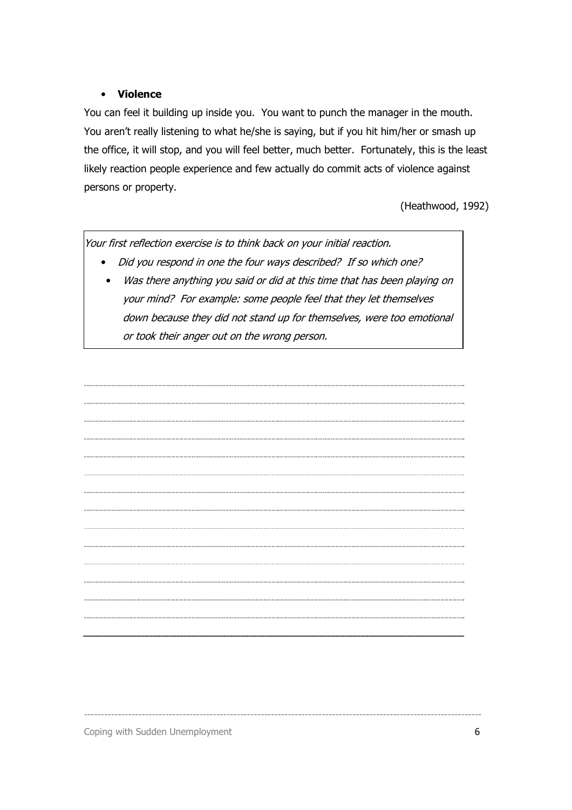## • Violence

You can feel it building up inside you. You want to punch the manager in the mouth. You aren't really listening to what he/she is saying, but if you hit him/her or smash up the office, it will stop, and you will feel better, much better. Fortunately, this is the least likely reaction people experience and few actually do commit acts of violence against persons or property.

(Heathwood, 1992)

Your first reflection exercise is to think back on your initial reaction.

- Did you respond in one the four ways described? If so which one?
	- Was there anything you said or did at this time that has been playing on your mind? For example: some people feel that they let themselves down because they did not stand up for themselves, were too emotional or took their anger out on the wrong person.

---------------------------------------------------------------------------------------------------------------------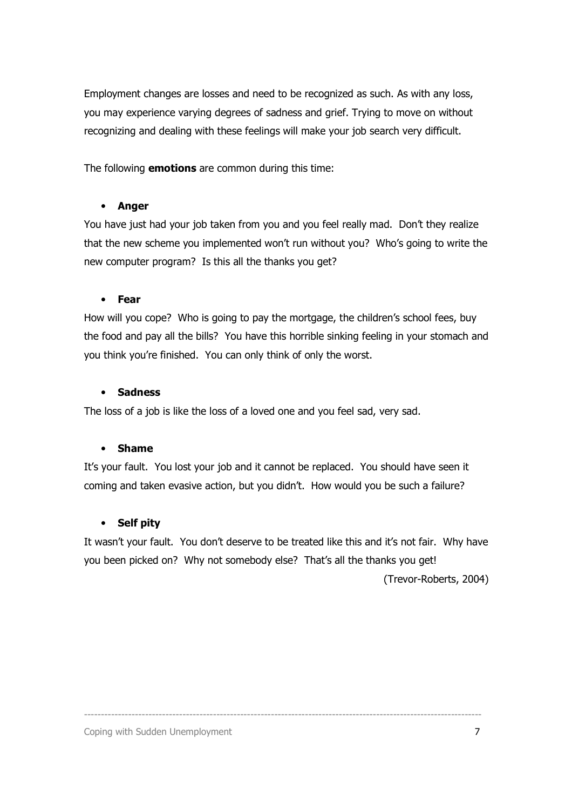Employment changes are losses and need to be recognized as such. As with any loss, you may experience varying degrees of sadness and grief. Trying to move on without recognizing and dealing with these feelings will make your job search very difficult.

The following **emotions** are common during this time:

## • Anger

You have just had your job taken from you and you feel really mad. Don't they realize that the new scheme you implemented won't run without you? Who's going to write the new computer program? Is this all the thanks you get?

#### • Fear

How will you cope? Who is going to pay the mortgage, the children's school fees, buy the food and pay all the bills? You have this horrible sinking feeling in your stomach and you think you're finished. You can only think of only the worst.

#### **Sadness**

The loss of a job is like the loss of a loved one and you feel sad, very sad.

#### • Shame

It's your fault. You lost your job and it cannot be replaced. You should have seen it coming and taken evasive action, but you didn't. How would you be such a failure?

#### • Self pity

It wasn't your fault. You don't deserve to be treated like this and it's not fair. Why have you been picked on? Why not somebody else? That's all the thanks you get!

---------------------------------------------------------------------------------------------------------------------

(Trevor-Roberts, 2004)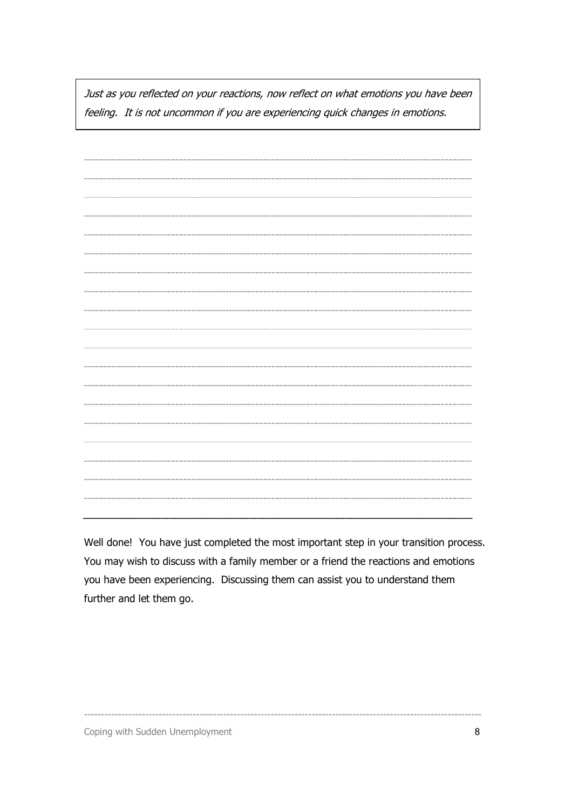Just as you reflected on your reactions, now reflect on what emotions you have been feeling. It is not uncommon if you are experiencing quick changes in emotions.

Well done! You have just completed the most important step in your transition process. You may wish to discuss with a family member or a friend the reactions and emotions you have been experiencing. Discussing them can assist you to understand them further and let them go.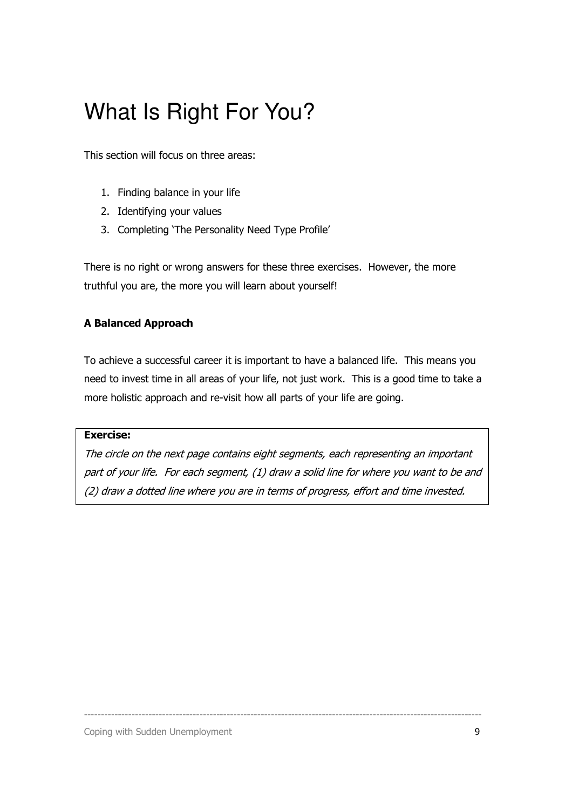# What Is Right For You?

This section will focus on three areas:

- 1. Finding balance in your life
- 2. Identifying your values
- 3. Completing 'The Personality Need Type Profile'

There is no right or wrong answers for these three exercises. However, the more truthful you are, the more you will learn about yourself!

# A Balanced Approach

To achieve a successful career it is important to have a balanced life. This means you need to invest time in all areas of your life, not just work. This is a good time to take a more holistic approach and re-visit how all parts of your life are going.

#### Exercise:

The circle on the next page contains eight segments, each representing an important part of your life. For each segment, (1) draw a solid line for where you want to be and (2) draw a dotted line where you are in terms of progress, effort and time invested.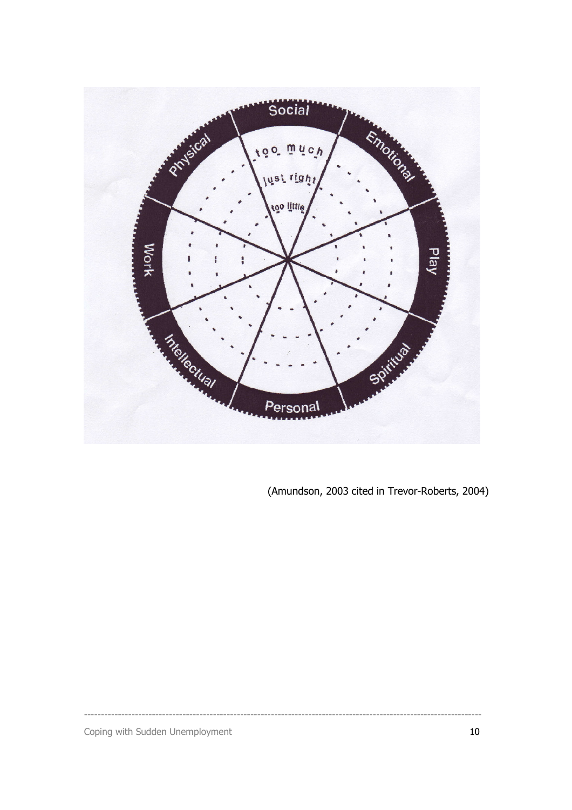

---------------------------------------------------------------------------------------------------------------------

(Amundson, 2003 cited in Trevor-Roberts, 2004)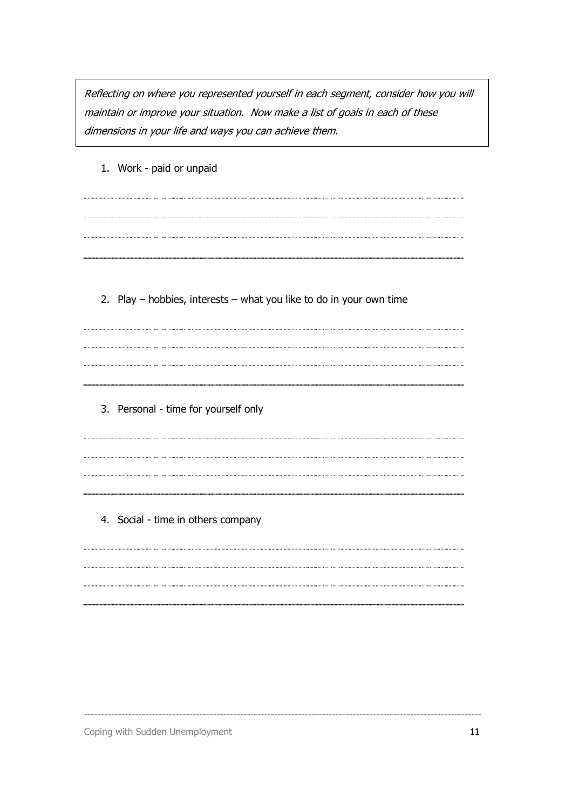Reflecting on where you represented yourself in each segment, consider how you will maintain or improve your situation. Now make a list of goals in each of these dimensions in your life and ways you can achieve them.

1. Work - paid or unpaid 2. Play – hobbies, interests – what you like to do in your own time 3. Personal - time for yourself only 4. Social - time in others company

---------------------------------------------------------------------------------------------------------------------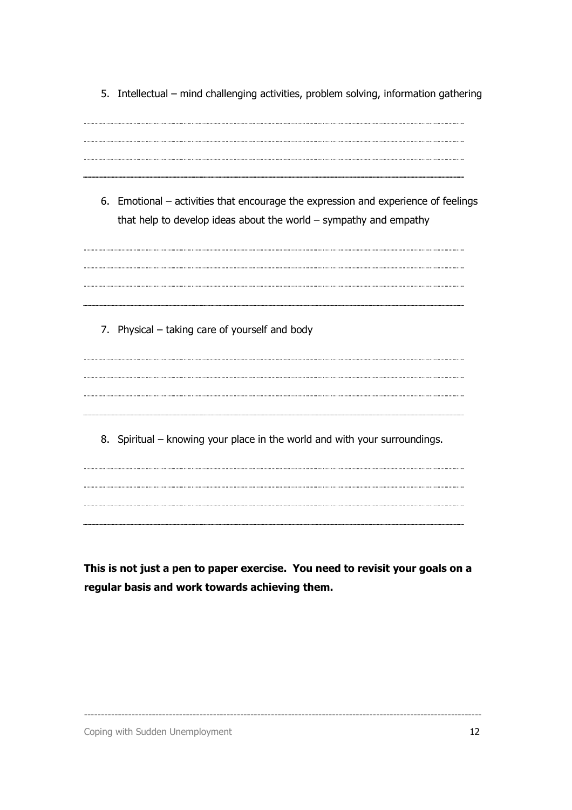| 5. Intellectual – mind challenging activities, problem solving, information gathering |  |  |  |
|---------------------------------------------------------------------------------------|--|--|--|
|                                                                                       |  |  |  |

6. Emotional – activities that encourage the expression and experience of feelings that help to develop ideas about the world – sympathy and empathy

7. Physical – taking care of yourself and body

8. Spiritual – knowing your place in the world and with your surroundings.

.................

This is not just a pen to paper exercise. You need to revisit your goals on a regular basis and work towards achieving them.

---------------------------------------------------------------------------------------------------------------------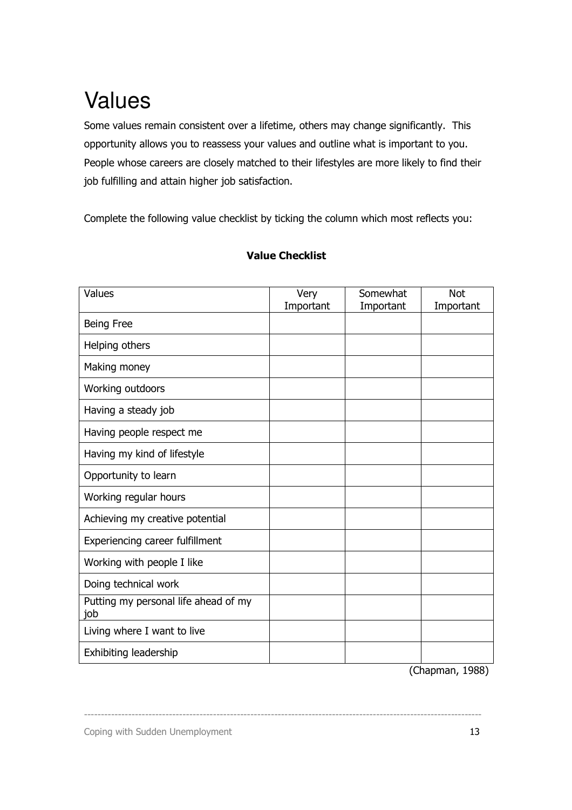# Values

Some values remain consistent over a lifetime, others may change significantly. This opportunity allows you to reassess your values and outline what is important to you. People whose careers are closely matched to their lifestyles are more likely to find their job fulfilling and attain higher job satisfaction.

Complete the following value checklist by ticking the column which most reflects you:

| Values                                      | Very<br>Important | Somewhat<br>Important | <b>Not</b><br>Important |
|---------------------------------------------|-------------------|-----------------------|-------------------------|
| Being Free                                  |                   |                       |                         |
| Helping others                              |                   |                       |                         |
| Making money                                |                   |                       |                         |
| Working outdoors                            |                   |                       |                         |
| Having a steady job                         |                   |                       |                         |
| Having people respect me                    |                   |                       |                         |
| Having my kind of lifestyle                 |                   |                       |                         |
| Opportunity to learn                        |                   |                       |                         |
| Working regular hours                       |                   |                       |                         |
| Achieving my creative potential             |                   |                       |                         |
| Experiencing career fulfillment             |                   |                       |                         |
| Working with people I like                  |                   |                       |                         |
| Doing technical work                        |                   |                       |                         |
| Putting my personal life ahead of my<br>job |                   |                       |                         |
| Living where I want to live                 |                   |                       |                         |
| Exhibiting leadership                       |                   |                       |                         |

---------------------------------------------------------------------------------------------------------------------

# Value Checklist

(Chapman, 1988)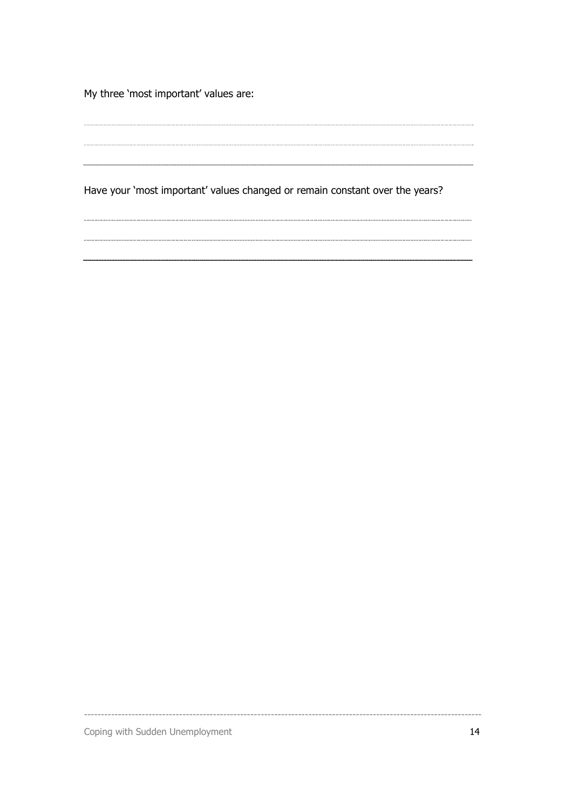My three 'most important' values are:

Have your 'most important' values changed or remain constant over the years?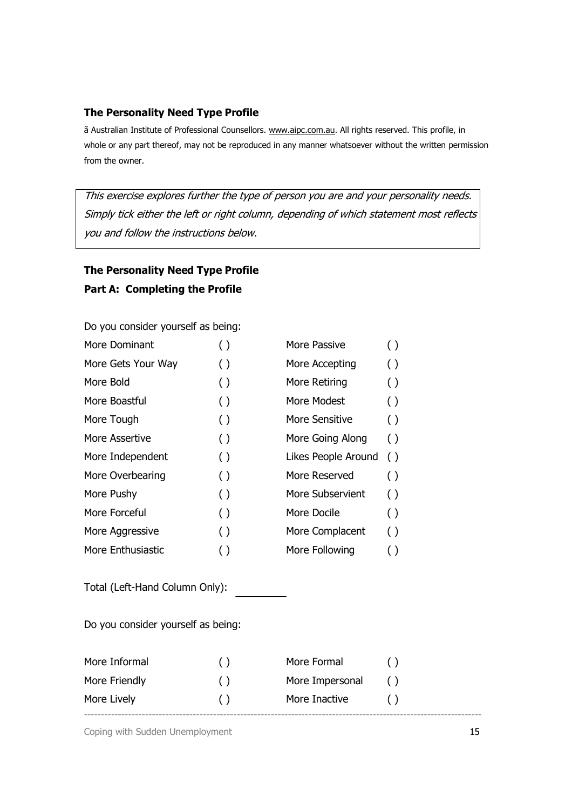#### The Personality Need Type Profile

ã Australian Institute of Professional Counsellors. www.aipc.com.au. All rights reserved. This profile, in whole or any part thereof, may not be reproduced in any manner whatsoever without the written permission from the owner.

This exercise explores further the type of person you are and your personality needs. Simply tick either the left or right column, depending of which statement most reflects you and follow the instructions below.

# The Personality Need Type Profile Part A: Completing the Profile

Do you consider yourself as being:

| More Dominant      | ( )                | More Passive        | ( )                |
|--------------------|--------------------|---------------------|--------------------|
| More Gets Your Way | $\left( \ \right)$ | More Accepting      | $\left( \ \right)$ |
| More Bold          | $\left( \ \right)$ | More Retiring       | $\left( \ \right)$ |
| More Boastful      | $\left( \ \right)$ | More Modest         | $\left( \ \right)$ |
| More Tough         | $\left( \ \right)$ | More Sensitive      | $\left( \ \right)$ |
| More Assertive     | $\left( \right)$   | More Going Along    | ( )                |
| More Independent   | $\left( \ \right)$ | Likes People Around | $\left( \ \right)$ |
| More Overbearing   | $\left( \right)$   | More Reserved       | ( )                |
| More Pushy         | $\left( \ \right)$ | More Subservient    | ( )                |
| More Forceful      | $\left( \ \right)$ | More Docile         | $\left( \ \right)$ |
| More Aggressive    | $\left( \ \right)$ | More Complacent     | ( )                |
| More Enthusiastic  |                    | More Following      |                    |

Total (Left-Hand Column Only):

Do you consider yourself as being:

| More Informal | $\left( \quad \right)$ | More Formal     |  |
|---------------|------------------------|-----------------|--|
| More Friendly | $\left( \quad \right)$ | More Impersonal |  |
| More Lively   | (                      | More Inactive   |  |
|               |                        |                 |  |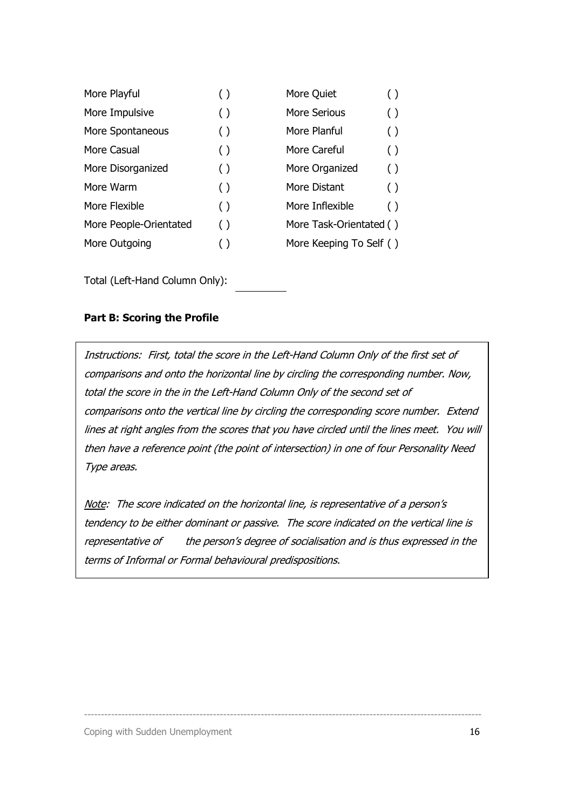| More Playful           | $\left( \right)$   | More Quiet<br>( )                  |
|------------------------|--------------------|------------------------------------|
| More Impulsive         | $\left( \ \right)$ | More Serious<br>$\left( \ \right)$ |
| More Spontaneous       | ( )                | More Planful<br>$\left( \right)$   |
| More Casual            | $\left( \ \right)$ | More Careful<br>( )                |
| More Disorganized      | ( )                | More Organized<br>( )              |
| More Warm              | ( )                | More Distant<br>( )                |
| More Flexible          | ( )                | More Inflexible<br>( )             |
| More People-Orientated | ( )                | More Task-Orientated ()            |
| More Outgoing          |                    | More Keeping To Self ()            |

Total (Left-Hand Column Only):

#### Part B: Scoring the Profile

Instructions: First, total the score in the Left-Hand Column Only of the first set of comparisons and onto the horizontal line by circling the corresponding number. Now, total the score in the in the Left-Hand Column Only of the second set of comparisons onto the vertical line by circling the corresponding score number. Extend lines at right angles from the scores that you have circled until the lines meet. You will then have a reference point (the point of intersection) in one of four Personality Need Type areas.

Note: The score indicated on the horizontal line, is representative of a person's tendency to be either dominant or passive. The score indicated on the vertical line is representative of the person's degree of socialisation and is thus expressed in the terms of Informal or Formal behavioural predispositions.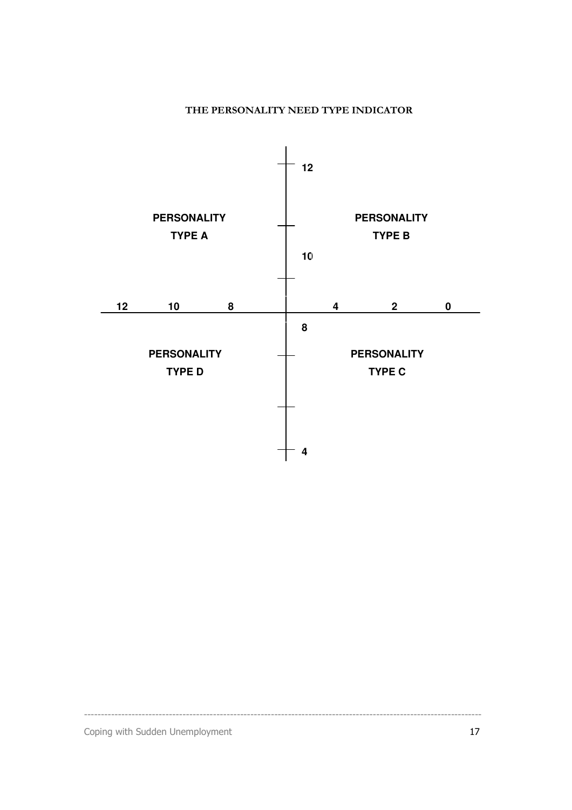#### THE PERSONALITY NEED TYPE INDICATOR

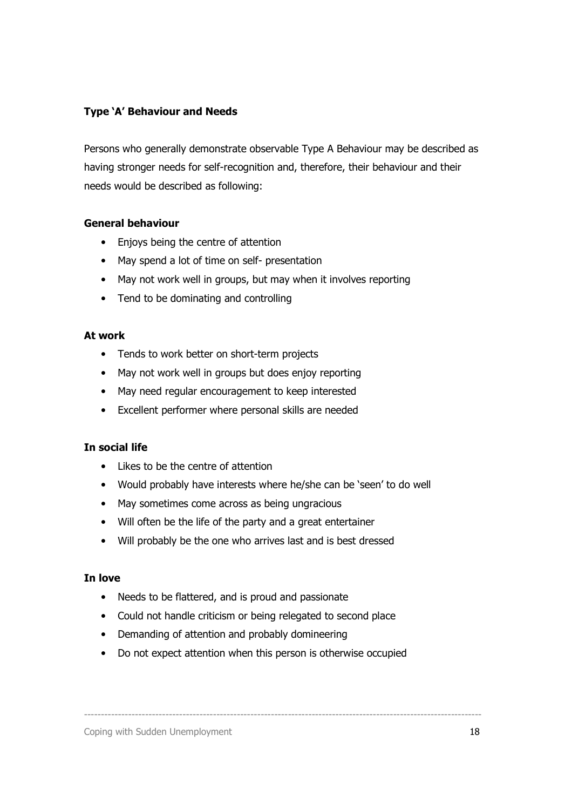## Type 'A' Behaviour and Needs

Persons who generally demonstrate observable Type A Behaviour may be described as having stronger needs for self-recognition and, therefore, their behaviour and their needs would be described as following:

#### General behaviour

- Enjoys being the centre of attention
- May spend a lot of time on self- presentation
- May not work well in groups, but may when it involves reporting
- Tend to be dominating and controlling

#### At work

- Tends to work better on short-term projects
- May not work well in groups but does enjoy reporting
- May need regular encouragement to keep interested
- Excellent performer where personal skills are needed

#### In social life

- Likes to be the centre of attention
- Would probably have interests where he/she can be 'seen' to do well
- May sometimes come across as being ungracious
- Will often be the life of the party and a great entertainer
- Will probably be the one who arrives last and is best dressed

#### In love

- Needs to be flattered, and is proud and passionate
- Could not handle criticism or being relegated to second place
- Demanding of attention and probably domineering
- Do not expect attention when this person is otherwise occupied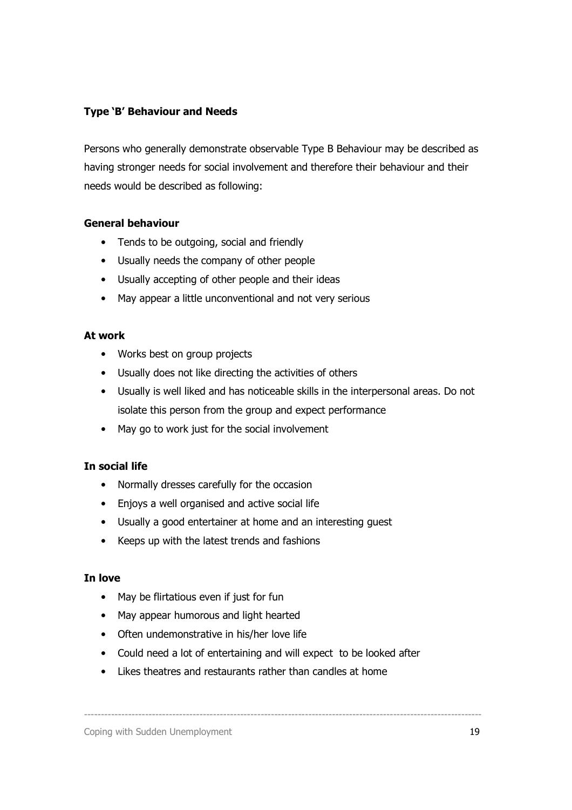## Type 'B' Behaviour and Needs

Persons who generally demonstrate observable Type B Behaviour may be described as having stronger needs for social involvement and therefore their behaviour and their needs would be described as following:

#### General behaviour

- Tends to be outgoing, social and friendly
- Usually needs the company of other people
- Usually accepting of other people and their ideas
- May appear a little unconventional and not very serious

#### At work

- Works best on group projects
- Usually does not like directing the activities of others
- Usually is well liked and has noticeable skills in the interpersonal areas. Do not isolate this person from the group and expect performance
- May go to work just for the social involvement

#### In social life

- Normally dresses carefully for the occasion
- Enjoys a well organised and active social life
- Usually a good entertainer at home and an interesting guest
- Keeps up with the latest trends and fashions

#### In love

- May be flirtatious even if just for fun
- May appear humorous and light hearted
- Often undemonstrative in his/her love life
- Could need a lot of entertaining and will expect to be looked after

---------------------------------------------------------------------------------------------------------------------

• Likes theatres and restaurants rather than candles at home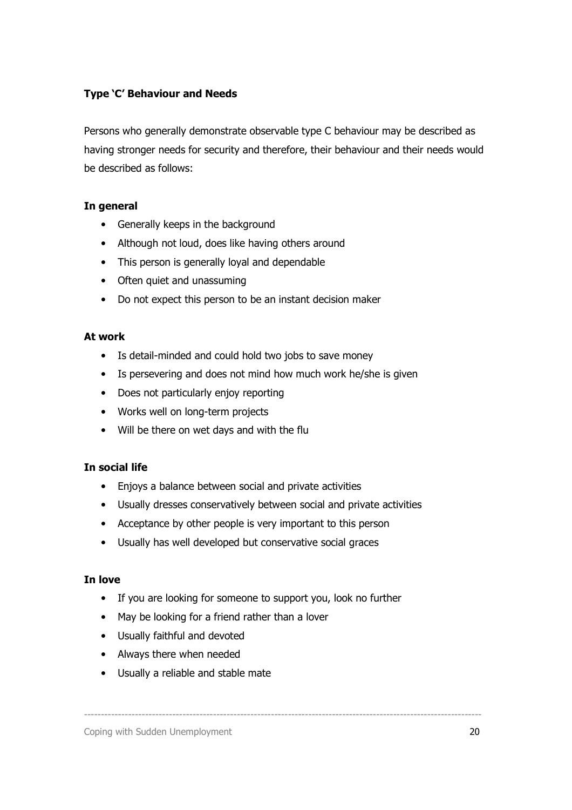## Type 'C' Behaviour and Needs

Persons who generally demonstrate observable type C behaviour may be described as having stronger needs for security and therefore, their behaviour and their needs would be described as follows:

#### In general

- Generally keeps in the background
- Although not loud, does like having others around
- This person is generally loyal and dependable
- Often quiet and unassuming
- Do not expect this person to be an instant decision maker

### At work

- Is detail-minded and could hold two jobs to save money
- Is persevering and does not mind how much work he/she is given
- Does not particularly enjoy reporting
- Works well on long-term projects
- Will be there on wet days and with the flu

#### In social life

- Enjoys a balance between social and private activities
- Usually dresses conservatively between social and private activities
- Acceptance by other people is very important to this person
- Usually has well developed but conservative social graces

#### In love

• If you are looking for someone to support you, look no further

- May be looking for a friend rather than a lover
- Usually faithful and devoted
- Always there when needed
- Usually a reliable and stable mate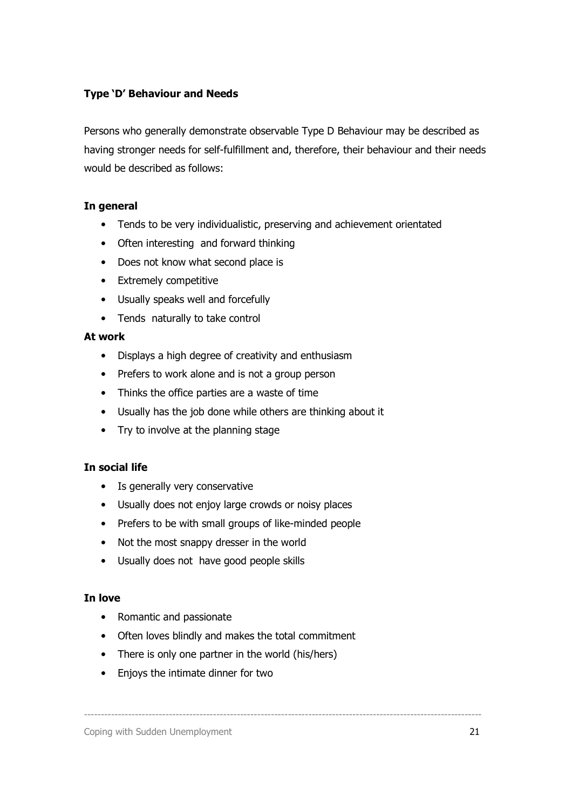## Type 'D' Behaviour and Needs

Persons who generally demonstrate observable Type D Behaviour may be described as having stronger needs for self-fulfillment and, therefore, their behaviour and their needs would be described as follows:

#### In general

- Tends to be very individualistic, preserving and achievement orientated
- Often interesting and forward thinking
- Does not know what second place is
- Extremely competitive
- Usually speaks well and forcefully
- Tends naturally to take control

#### At work

- Displays a high degree of creativity and enthusiasm
- Prefers to work alone and is not a group person
- Thinks the office parties are a waste of time
- Usually has the job done while others are thinking about it
- Try to involve at the planning stage

#### In social life

- Is generally very conservative
- Usually does not enjoy large crowds or noisy places
- Prefers to be with small groups of like-minded people
- Not the most snappy dresser in the world
- Usually does not have good people skills

#### In love

- Romantic and passionate
- Often loves blindly and makes the total commitment

- There is only one partner in the world (his/hers)
- Enjoys the intimate dinner for two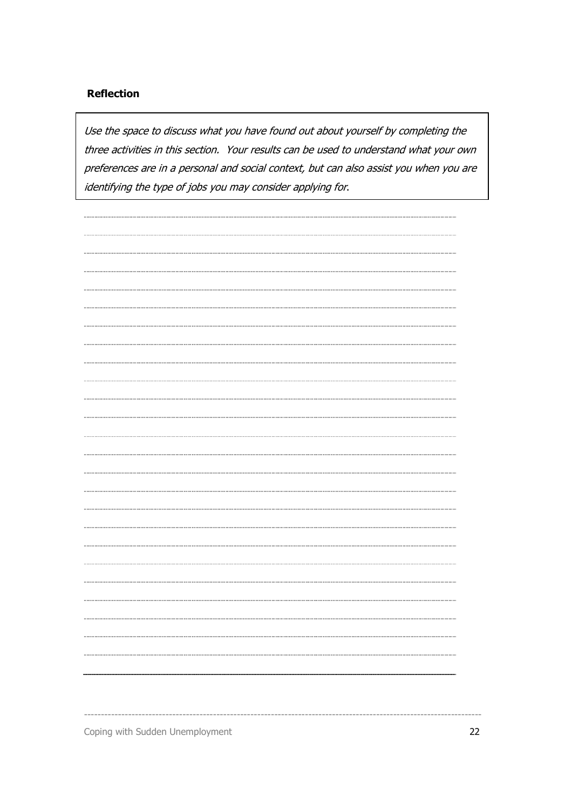#### Reflection

Use the space to discuss what you have found out about yourself by completing the three activities in this section. Your results can be used to understand what your own preferences are in a personal and social context, but can also assist you when you are identifying the type of jobs you may consider applying for.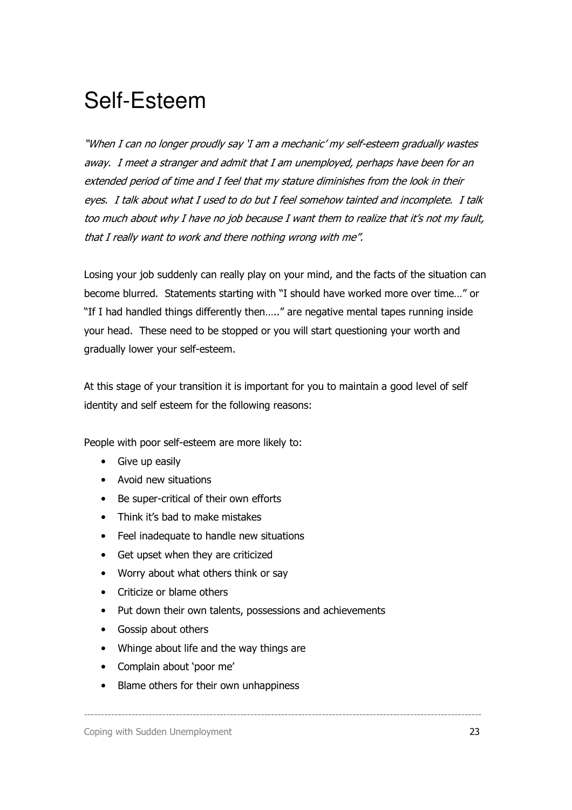# Self-Esteem

"When I can no longer proudly say 'I am a mechanic' my self-esteem gradually wastes away. I meet a stranger and admit that I am unemployed, perhaps have been for an extended period of time and I feel that my stature diminishes from the look in their eyes. I talk about what I used to do but I feel somehow tainted and incomplete. I talk too much about why I have no job because I want them to realize that it's not my fault, that I really want to work and there nothing wrong with me".

Losing your job suddenly can really play on your mind, and the facts of the situation can become blurred. Statements starting with "I should have worked more over time…" or "If I had handled things differently then….." are negative mental tapes running inside your head. These need to be stopped or you will start questioning your worth and gradually lower your self-esteem.

At this stage of your transition it is important for you to maintain a good level of self identity and self esteem for the following reasons:

People with poor self-esteem are more likely to:

- Give up easily
- Avoid new situations
- Be super-critical of their own efforts
- Think it's bad to make mistakes
- Feel inadequate to handle new situations
- Get upset when they are criticized
- Worry about what others think or say
- Criticize or blame others
- Put down their own talents, possessions and achievements

- Gossip about others
- Whinge about life and the way things are
- Complain about 'poor me'
- Blame others for their own unhappiness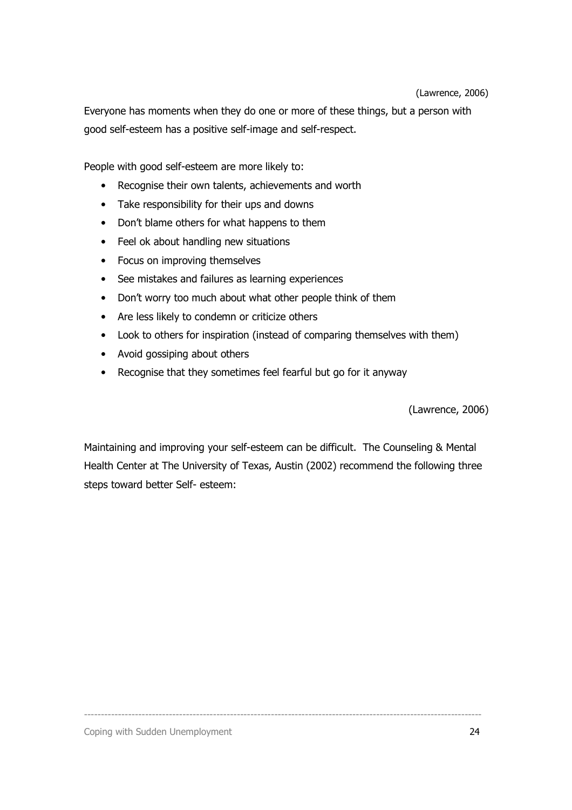Everyone has moments when they do one or more of these things, but a person with good self-esteem has a positive self-image and self-respect.

People with good self-esteem are more likely to:

- Recognise their own talents, achievements and worth
- Take responsibility for their ups and downs
- Don't blame others for what happens to them
- Feel ok about handling new situations
- Focus on improving themselves
- See mistakes and failures as learning experiences
- Don't worry too much about what other people think of them
- Are less likely to condemn or criticize others
- Look to others for inspiration (instead of comparing themselves with them)
- Avoid gossiping about others
- Recognise that they sometimes feel fearful but go for it anyway

(Lawrence, 2006)

Maintaining and improving your self-esteem can be difficult. The Counseling & Mental Health Center at The University of Texas, Austin (2002) recommend the following three steps toward better Self- esteem: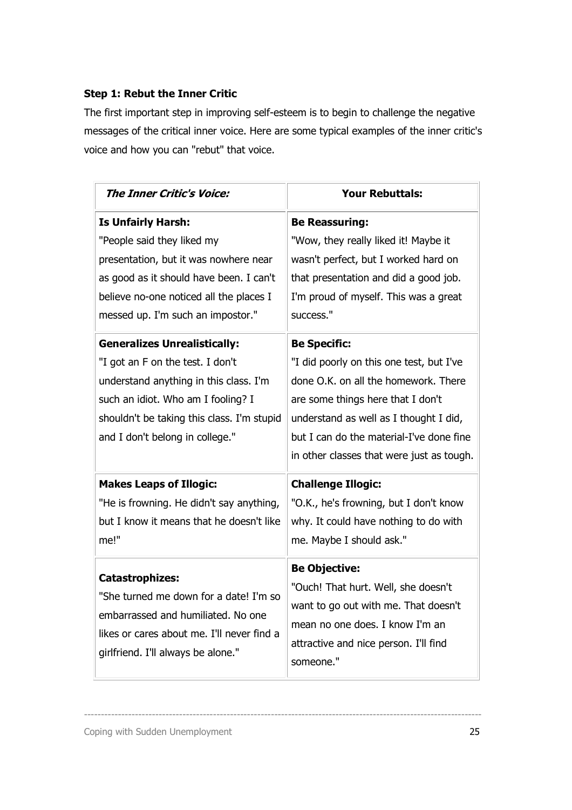# Step 1: Rebut the Inner Critic

The first important step in improving self-esteem is to begin to challenge the negative messages of the critical inner voice. Here are some typical examples of the inner critic's voice and how you can "rebut" that voice.

| <b>The Inner Critic's Voice:</b>                                                                                                                                                                                                         | <b>Your Rebuttals:</b>                                                                                                                                                                                                                                                          |
|------------------------------------------------------------------------------------------------------------------------------------------------------------------------------------------------------------------------------------------|---------------------------------------------------------------------------------------------------------------------------------------------------------------------------------------------------------------------------------------------------------------------------------|
| <b>Is Unfairly Harsh:</b>                                                                                                                                                                                                                | <b>Be Reassuring:</b>                                                                                                                                                                                                                                                           |
| "People said they liked my                                                                                                                                                                                                               | "Wow, they really liked it! Maybe it                                                                                                                                                                                                                                            |
| presentation, but it was nowhere near                                                                                                                                                                                                    | wasn't perfect, but I worked hard on                                                                                                                                                                                                                                            |
| as good as it should have been. I can't                                                                                                                                                                                                  | that presentation and did a good job.                                                                                                                                                                                                                                           |
| believe no-one noticed all the places I                                                                                                                                                                                                  | I'm proud of myself. This was a great                                                                                                                                                                                                                                           |
| messed up. I'm such an impostor."                                                                                                                                                                                                        | success."                                                                                                                                                                                                                                                                       |
| <b>Generalizes Unrealistically:</b><br>"I got an F on the test. I don't<br>understand anything in this class. I'm<br>such an idiot. Who am I fooling? I<br>shouldn't be taking this class. I'm stupid<br>and I don't belong in college." | <b>Be Specific:</b><br>"I did poorly on this one test, but I've<br>done O.K. on all the homework. There<br>are some things here that I don't<br>understand as well as I thought I did,<br>but I can do the material-I've done fine<br>in other classes that were just as tough. |
| <b>Makes Leaps of Illogic:</b>                                                                                                                                                                                                           | <b>Challenge Illogic:</b>                                                                                                                                                                                                                                                       |
| "He is frowning. He didn't say anything,                                                                                                                                                                                                 | "O.K., he's frowning, but I don't know                                                                                                                                                                                                                                          |
| but I know it means that he doesn't like                                                                                                                                                                                                 | why. It could have nothing to do with                                                                                                                                                                                                                                           |
| me!"                                                                                                                                                                                                                                     | me. Maybe I should ask."                                                                                                                                                                                                                                                        |
| <b>Catastrophizes:</b><br>"She turned me down for a date! I'm so<br>embarrassed and humiliated. No one<br>likes or cares about me. I'll never find a<br>girlfriend. I'll always be alone."                                               | <b>Be Objective:</b><br>"Ouch! That hurt. Well, she doesn't<br>want to go out with me. That doesn't<br>mean no one does. I know I'm an<br>attractive and nice person. I'll find<br>someone."                                                                                    |

---------------------------------------------------------------------------------------------------------------------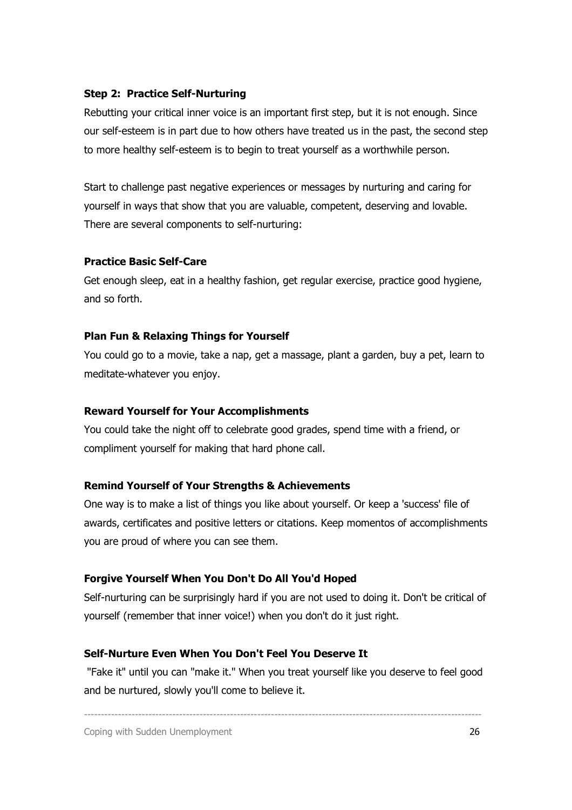#### Step 2: Practice Self-Nurturing

Rebutting your critical inner voice is an important first step, but it is not enough. Since our self-esteem is in part due to how others have treated us in the past, the second step to more healthy self-esteem is to begin to treat yourself as a worthwhile person.

Start to challenge past negative experiences or messages by nurturing and caring for yourself in ways that show that you are valuable, competent, deserving and lovable. There are several components to self-nurturing:

#### Practice Basic Self-Care

Get enough sleep, eat in a healthy fashion, get regular exercise, practice good hygiene, and so forth.

#### Plan Fun & Relaxing Things for Yourself

You could go to a movie, take a nap, get a massage, plant a garden, buy a pet, learn to meditate-whatever you enjoy.

#### Reward Yourself for Your Accomplishments

You could take the night off to celebrate good grades, spend time with a friend, or compliment yourself for making that hard phone call.

#### Remind Yourself of Your Strengths & Achievements

One way is to make a list of things you like about yourself. Or keep a 'success' file of awards, certificates and positive letters or citations. Keep momentos of accomplishments you are proud of where you can see them.

#### Forgive Yourself When You Don't Do All You'd Hoped

Self-nurturing can be surprisingly hard if you are not used to doing it. Don't be critical of yourself (remember that inner voice!) when you don't do it just right.

#### Self-Nurture Even When You Don't Feel You Deserve It

"Fake it" until you can "make it." When you treat yourself like you deserve to feel good and be nurtured, slowly you'll come to believe it.

---------------------------------------------------------------------------------------------------------------------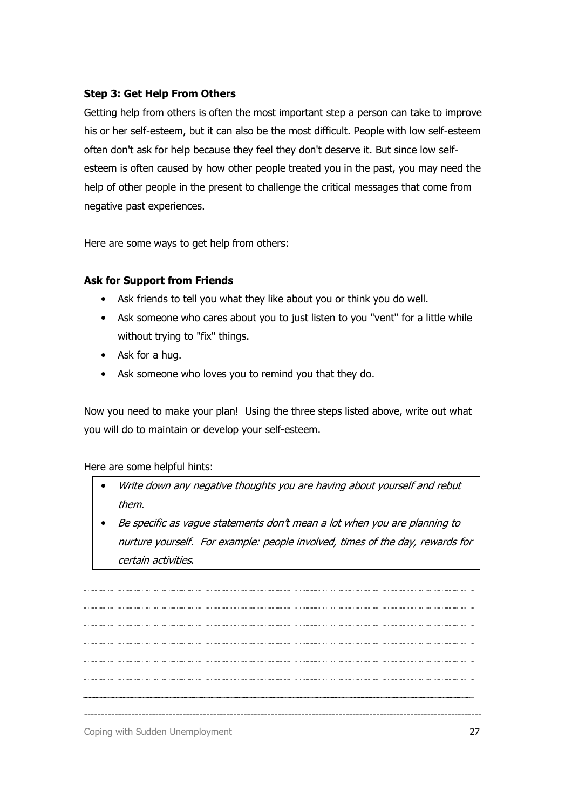### Step 3: Get Help From Others

Getting help from others is often the most important step a person can take to improve his or her self-esteem, but it can also be the most difficult. People with low self-esteem often don't ask for help because they feel they don't deserve it. But since low selfesteem is often caused by how other people treated you in the past, you may need the help of other people in the present to challenge the critical messages that come from negative past experiences.

Here are some ways to get help from others:

#### Ask for Support from Friends

- Ask friends to tell you what they like about you or think you do well.
- Ask someone who cares about you to just listen to you "vent" for a little while without trying to "fix" things.
- Ask for a hug.
- Ask someone who loves you to remind you that they do.

Now you need to make your plan! Using the three steps listed above, write out what you will do to maintain or develop your self-esteem.

Here are some helpful hints:

- Write down any negative thoughts you are having about yourself and rebut them.
- Be specific as vague statements don't mean a lot when you are planning to nurture yourself. For example: people involved, times of the day, rewards for certain activities.

---------------------------------------------------------------------------------------------------------------------

**Coping with Sudden Unemployment** 27 and 27 and 27 and 27 and 27 and 27 and 27 and 27 and 27 and 27 and 27 and 27 and 27 and 27 and 27 and 27 and 27 and 27 and 27 and 27 and 27 and 27 and 27 and 27 and 27 and 27 and 27 and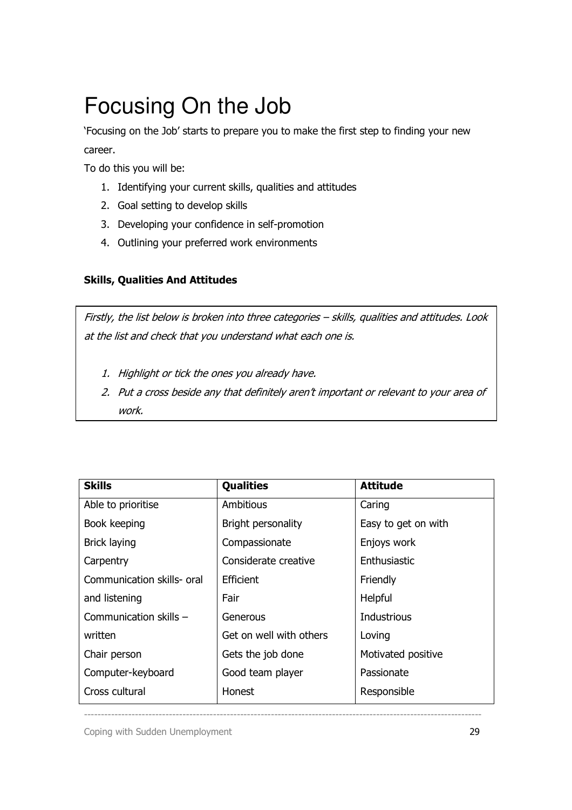# Focusing On the Job

'Focusing on the Job' starts to prepare you to make the first step to finding your new career.

To do this you will be:

- 1. Identifying your current skills, qualities and attitudes
- 2. Goal setting to develop skills
- 3. Developing your confidence in self-promotion
- 4. Outlining your preferred work environments

# Skills, Qualities And Attitudes

Firstly, the list below is broken into three categories – skills, qualities and attitudes. Look at the list and check that you understand what each one is.

- 1. Highlight or tick the ones you already have.
- 2. Put a cross beside any that definitely aren't important or relevant to your area of work.

| <b>Skills</b>              | <b>Qualities</b>        | <b>Attitude</b>     |
|----------------------------|-------------------------|---------------------|
| Able to prioritise         | Ambitious               | Caring              |
| Book keeping               | Bright personality      | Easy to get on with |
| Brick laying               | Compassionate           | Enjoys work         |
| Carpentry                  | Considerate creative    | Enthusiastic        |
| Communication skills- oral | Efficient               | Friendly            |
| and listening              | Fair                    | Helpful             |
| Communication skills -     | Generous                | Industrious         |
| written                    | Get on well with others | Loving              |
| Chair person               | Gets the job done       | Motivated positive  |
| Computer-keyboard          | Good team player        | Passionate          |
| Cross cultural             | Honest                  | Responsible         |

---------------------------------------------------------------------------------------------------------------------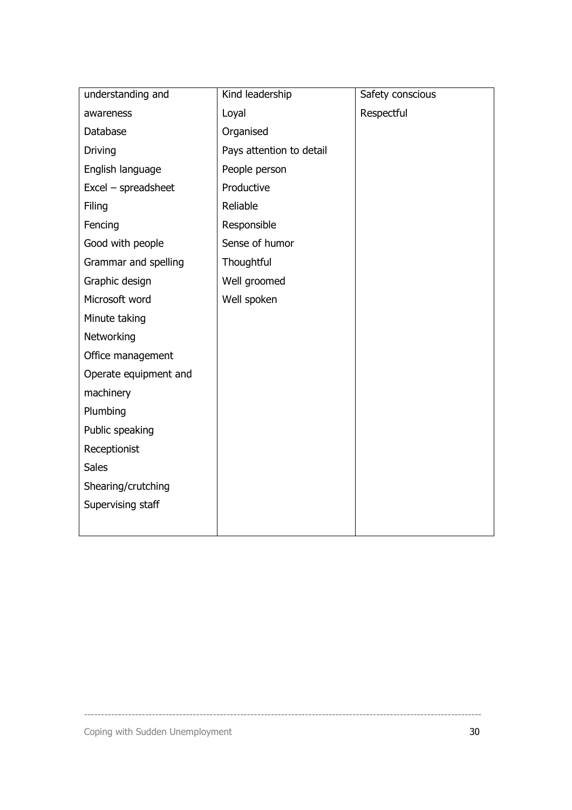| understanding and     | Kind leadership          | Safety conscious |
|-----------------------|--------------------------|------------------|
| awareness             | Loyal                    | Respectful       |
| Database              | Organised                |                  |
| Driving               | Pays attention to detail |                  |
| English language      | People person            |                  |
| Excel - spreadsheet   | Productive               |                  |
| Filing                | Reliable                 |                  |
| Fencing               | Responsible              |                  |
| Good with people      | Sense of humor           |                  |
| Grammar and spelling  | Thoughtful               |                  |
| Graphic design        | Well groomed             |                  |
| Microsoft word        | Well spoken              |                  |
| Minute taking         |                          |                  |
| Networking            |                          |                  |
| Office management     |                          |                  |
| Operate equipment and |                          |                  |
| machinery             |                          |                  |
| Plumbing              |                          |                  |
| Public speaking       |                          |                  |
| Receptionist          |                          |                  |
| <b>Sales</b>          |                          |                  |
| Shearing/crutching    |                          |                  |
| Supervising staff     |                          |                  |
|                       |                          |                  |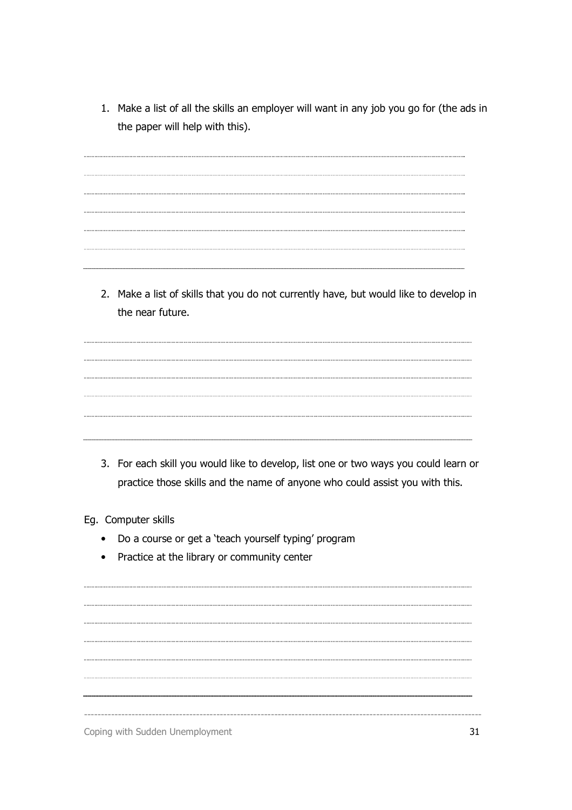1. Make a list of all the skills an employer will want in any job you go for (the ads in the paper will help with this).

2. Make a list of skills that you do not currently have, but would like to develop in the near future.

- 3. For each skill you would like to develop, list one or two ways you could learn or practice those skills and the name of anyone who could assist you with this.
- Eg. Computer skills
	- Do a course or get a 'teach yourself typing' program
	- Practice at the library or community center

--------------------------------------------------------------------------------------------------------------------- Coping with Sudden Unemployment 31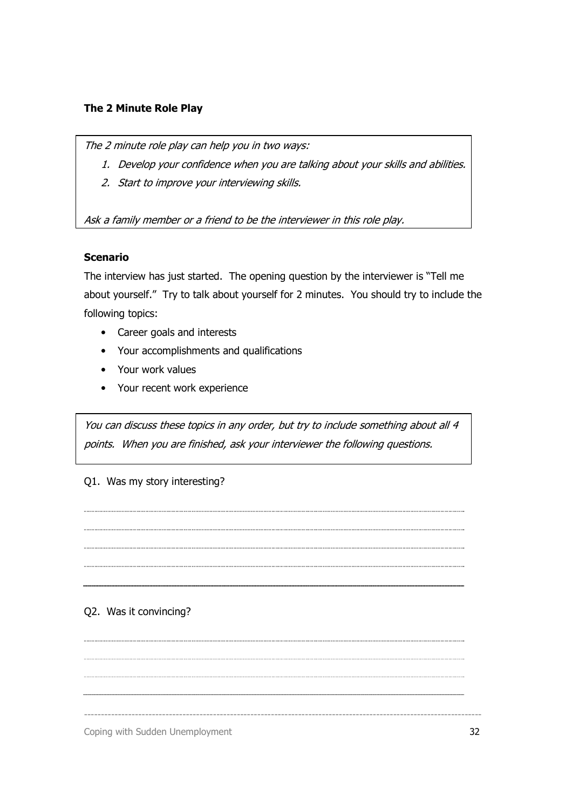### The 2 Minute Role Play

The 2 minute role play can help you in two ways:

- 1. Develop your confidence when you are talking about your skills and abilities.
- 2. Start to improve your interviewing skills.

Ask a family member or a friend to be the interviewer in this role play.

#### Scenario

The interview has just started. The opening question by the interviewer is "Tell me about yourself." Try to talk about yourself for 2 minutes. You should try to include the following topics:

- Career goals and interests
- Your accomplishments and qualifications
- Your work values
- Your recent work experience

You can discuss these topics in any order, but try to include something about all 4 points. When you are finished, ask your interviewer the following questions.

#### Q1. Was my story interesting?

#### Q2. Was it convincing?

--------------------------------------------------------------------------------------------------------------------- Coping with Sudden Unemployment 32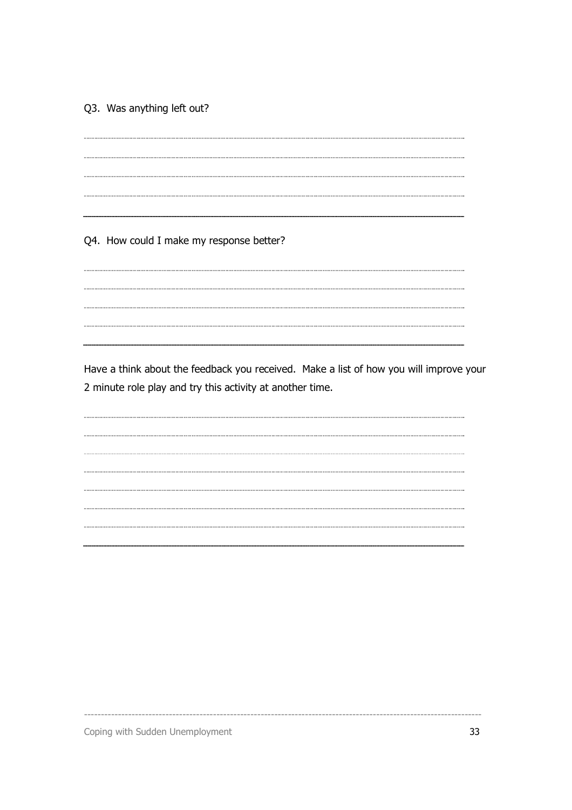## Q3. Was anything left out?

Q4. How could I make my response better?

Have a think about the feedback you received. Make a list of how you will improve your 2 minute role play and try this activity at another time.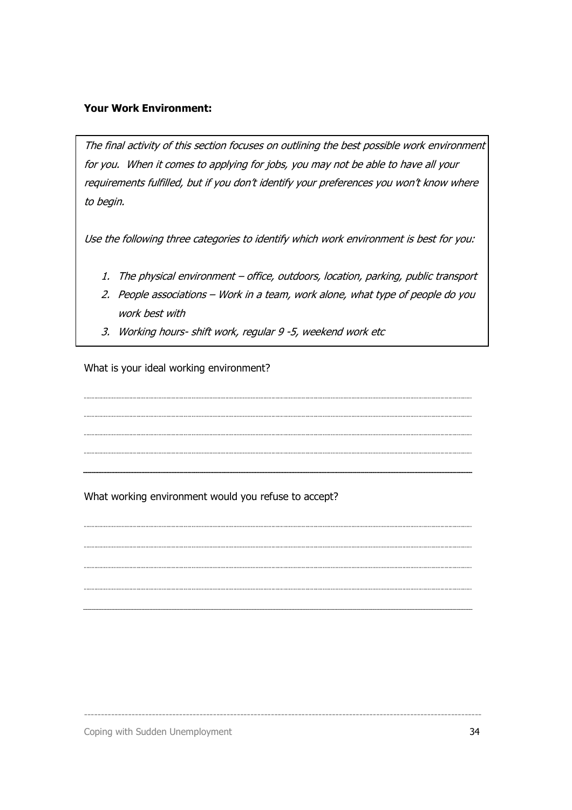#### Your Work Environment:

The final activity of this section focuses on outlining the best possible work environment for you. When it comes to applying for jobs, you may not be able to have all your requirements fulfilled, but if you don't identify your preferences you won't know where to begin.

Use the following three categories to identify which work environment is best for you:

- 1. The physical environment office, outdoors, location, parking, public transport
- 2. People associations Work in a team, work alone, what type of people do you work best with
- 3. Working hours- shift work, regular 9 -5, weekend work etc

What is your ideal working environment?

What working environment would you refuse to accept?

---------------------------------------------------------------------------------------------------------------------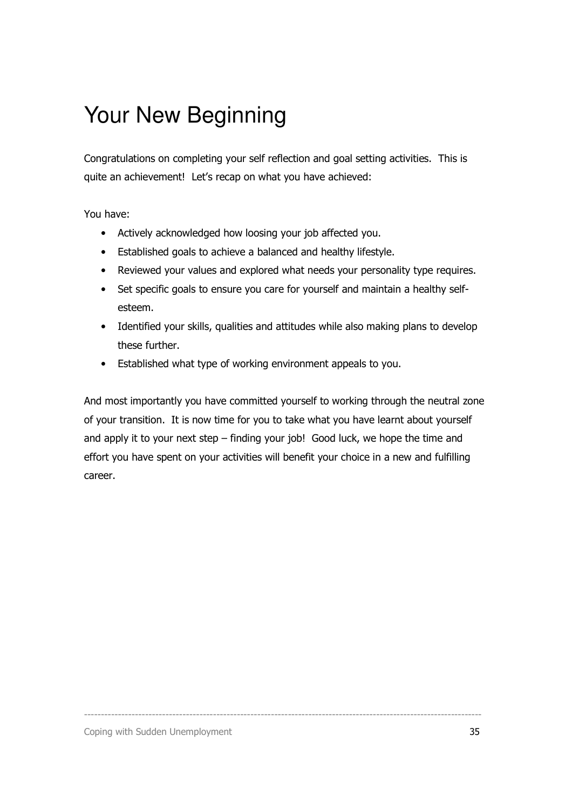# Your New Beginning

Congratulations on completing your self reflection and goal setting activities. This is quite an achievement! Let's recap on what you have achieved:

You have:

- Actively acknowledged how loosing your job affected you.
- Established goals to achieve a balanced and healthy lifestyle.
- Reviewed your values and explored what needs your personality type requires.
- Set specific goals to ensure you care for yourself and maintain a healthy selfesteem.
- Identified your skills, qualities and attitudes while also making plans to develop these further.
- Established what type of working environment appeals to you.

And most importantly you have committed yourself to working through the neutral zone of your transition. It is now time for you to take what you have learnt about yourself and apply it to your next step – finding your job! Good luck, we hope the time and effort you have spent on your activities will benefit your choice in a new and fulfilling career.